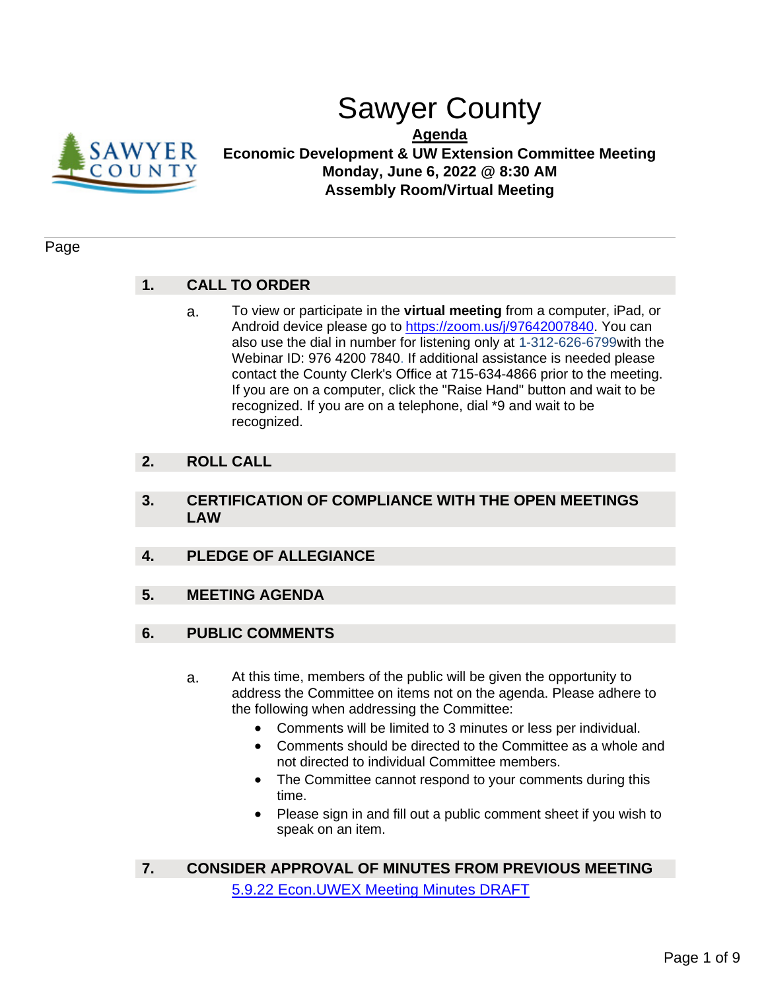

# Sawyer County

**Agenda**

**Economic Development & UW Extension Committee Meeting Monday, June 6, 2022 @ 8:30 AM Assembly Room/Virtual Meeting**

### Page

### **1. CALL TO ORDER**

a. To view or participate in the **virtual meeting** from a computer, iPad, or Android device please go to [https://zoom.us/j/97642007840.](https://zoom.us/j/97642007840) You can also use the dial in number for listening only at 1-312-626-6799with the Webinar ID: 976 4200 7840. If additional assistance is needed please contact the County Clerk's Office at 715-634-4866 prior to the meeting. If you are on a computer, click the "Raise Hand" button and wait to be recognized. If you are on a telephone, dial \*9 and wait to be recognized.

### **2. ROLL CALL**

- **3. CERTIFICATION OF COMPLIANCE WITH THE OPEN MEETINGS LAW**
- **4. PLEDGE OF ALLEGIANCE**
- **5. MEETING AGENDA**
- **6. PUBLIC COMMENTS**
	- a. At this time, members of the public will be given the opportunity to address the Committee on items not on the agenda. Please adhere to the following when addressing the Committee:
		- Comments will be limited to 3 minutes or less per individual.
		- Comments should be directed to the Committee as a whole and not directed to individual Committee members.
		- The Committee cannot respond to your comments during this time.
		- Please sign in and fill out a public comment sheet if you wish to speak on an item.
- **7. CONSIDER APPROVAL OF MINUTES FROM PREVIOUS MEETING** [5.9.22 Econ.UWEX Meeting Minutes DRAFT](#page-3-0)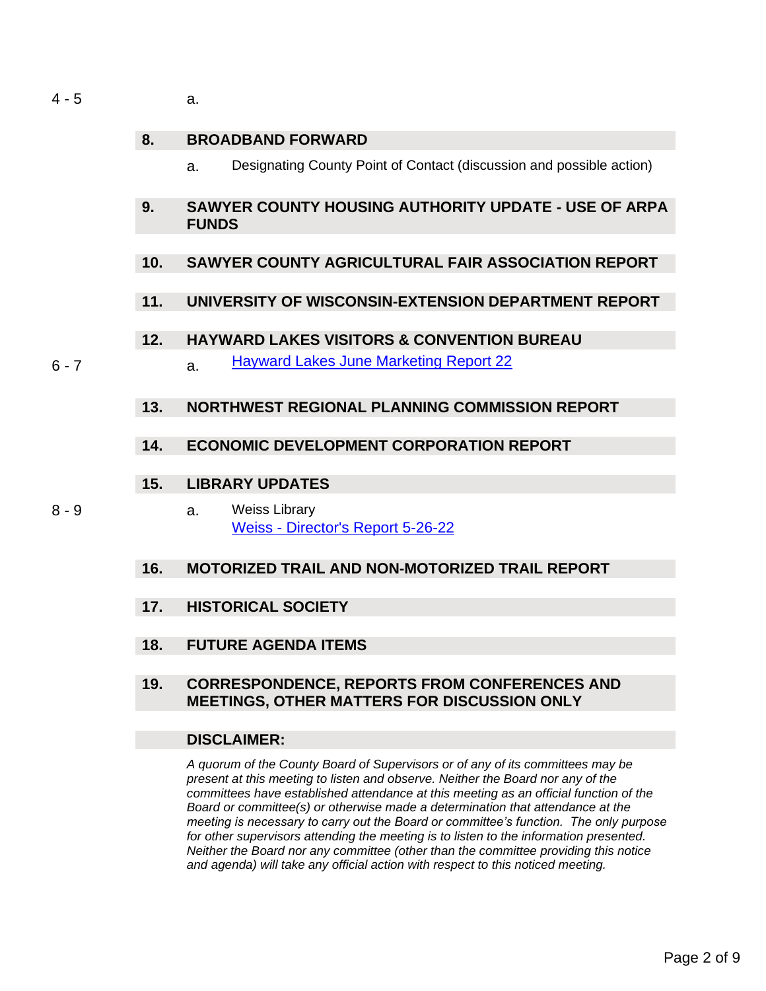$4 - 5$  a.

### **8. BROADBAND FORWARD**

- a. Designating County Point of Contact (discussion and possible action)
- **9. SAWYER COUNTY HOUSING AUTHORITY UPDATE - USE OF ARPA FUNDS**

### **10. SAWYER COUNTY AGRICULTURAL FAIR ASSOCIATION REPORT**

**11. UNIVERSITY OF WISCONSIN-EXTENSION DEPARTMENT REPORT**

### **12. HAYWARD LAKES VISITORS & CONVENTION BUREAU**

6 - 7 a. [Hayward Lakes June Marketing Report 22](#page-5-0)

### **13. NORTHWEST REGIONAL PLANNING COMMISSION REPORT**

### **14. ECONOMIC DEVELOPMENT CORPORATION REPORT**

### **15. LIBRARY UPDATES**

- 
- 8 9 a. Weiss Library Weiss - [Director's Report 5-26-22](#page-7-0)

### **16. MOTORIZED TRAIL AND NON-MOTORIZED TRAIL REPORT**

- **17. HISTORICAL SOCIETY**
- **18. FUTURE AGENDA ITEMS**

### **19. CORRESPONDENCE, REPORTS FROM CONFERENCES AND MEETINGS, OTHER MATTERS FOR DISCUSSION ONLY**

### **DISCLAIMER:**

*A quorum of the County Board of Supervisors or of any of its committees may be present at this meeting to listen and observe. Neither the Board nor any of the committees have established attendance at this meeting as an official function of the Board or committee(s) or otherwise made a determination that attendance at the meeting is necessary to carry out the Board or committee's function. The only purpose for other supervisors attending the meeting is to listen to the information presented. Neither the Board nor any committee (other than the committee providing this notice and agenda) will take any official action with respect to this noticed meeting.*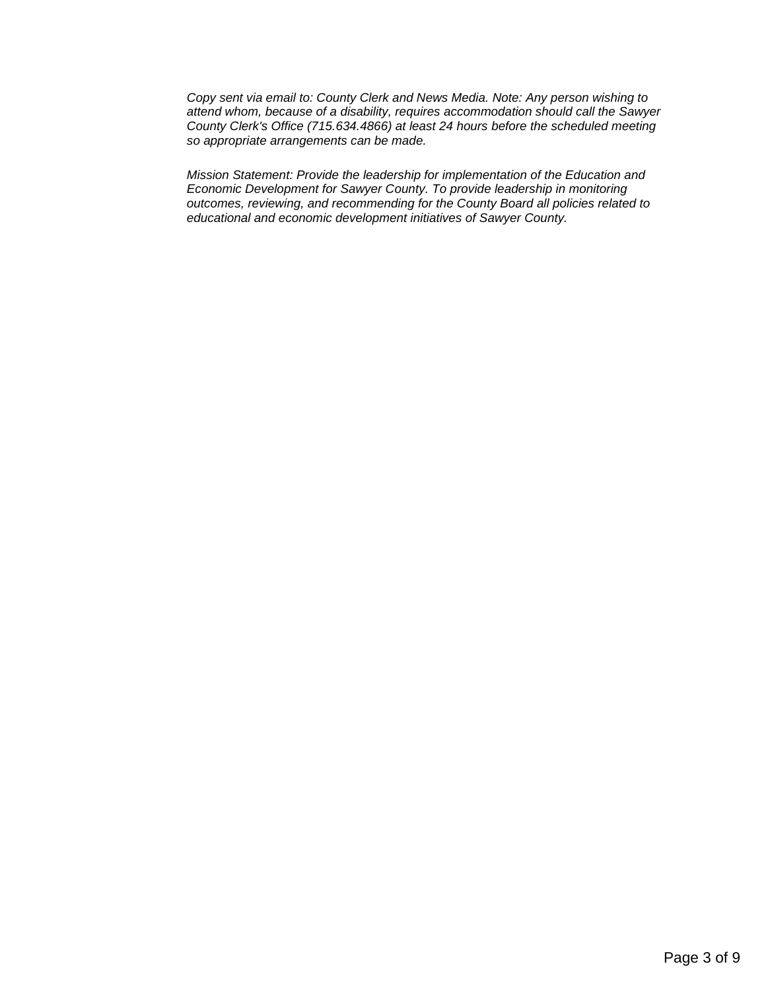*Copy sent via email to: County Clerk and News Media. Note: Any person wishing to attend whom, because of a disability, requires accommodation should call the Sawyer County Clerk's Office (715.634.4866) at least 24 hours before the scheduled meeting so appropriate arrangements can be made.* 

*Mission Statement: Provide the leadership for implementation of the Education and Economic Development for Sawyer County. To provide leadership in monitoring outcomes, reviewing, and recommending for the County Board all policies related to educational and economic development initiatives of Sawyer County.*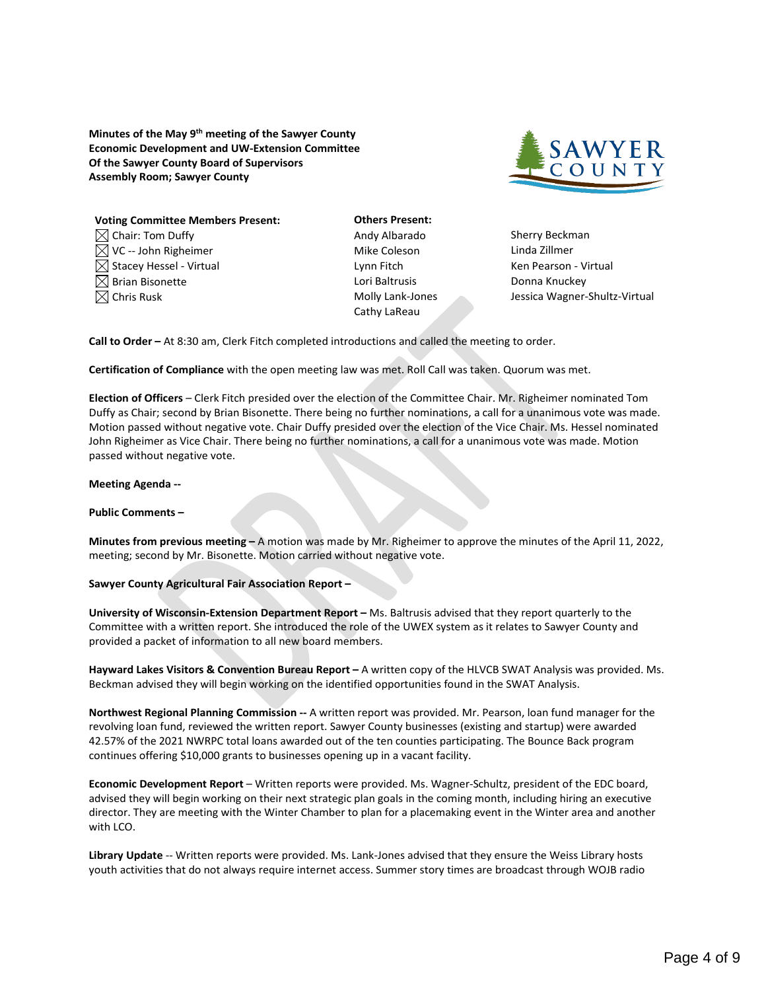<span id="page-3-0"></span>**Minutes of the May 9th meeting of the Sawyer County Economic Development and UW-Extension Committee Of the Sawyer County Board of Supervisors Assembly Room; Sawyer County**



| <b>Voting Committee Members Present:</b> |
|------------------------------------------|
| $\boxtimes$ Chair: Tom Duffy             |
| $\boxtimes$ VC -- John Righeimer         |
| $\boxtimes$ Stacey Hessel - Virtual      |
| $\boxtimes$ Brian Bisonette              |
| $\boxtimes$ Chris Rusk                   |

**Others Present:** Andy Albarado Sherry Beckman Mike Coleson Linda Zillmer Lori Baltrusis **Exercise South Bisonette Lori Baltrusis** Donna Knuckey Cathy LaReau

Lynn Fitch **Ken Pearson - Virtual** Molly Lank-Jones Jessica Wagner-Shultz-Virtual

**Call to Order –** At 8:30 am, Clerk Fitch completed introductions and called the meeting to order.

**Certification of Compliance** with the open meeting law was met. Roll Call was taken. Quorum was met.

**Election of Officers** – Clerk Fitch presided over the election of the Committee Chair. Mr. Righeimer nominated Tom Duffy as Chair; second by Brian Bisonette. There being no further nominations, a call for a unanimous vote was made. Motion passed without negative vote. Chair Duffy presided over the election of the Vice Chair. Ms. Hessel nominated John Righeimer as Vice Chair. There being no further nominations, a call for a unanimous vote was made. Motion passed without negative vote.

#### **Meeting Agenda --**

#### **Public Comments –**

**Minutes from previous meeting –** A motion was made by Mr. Righeimer to approve the minutes of the April 11, 2022, meeting; second by Mr. Bisonette. Motion carried without negative vote.

#### **Sawyer County Agricultural Fair Association Report –**

**University of Wisconsin-Extension Department Report –** Ms. Baltrusis advised that they report quarterly to the Committee with a written report. She introduced the role of the UWEX system as it relates to Sawyer County and provided a packet of information to all new board members.

**Hayward Lakes Visitors & Convention Bureau Report –** A written copy of the HLVCB SWAT Analysis was provided. Ms. Beckman advised they will begin working on the identified opportunities found in the SWAT Analysis.

**Northwest Regional Planning Commission --** A written report was provided. Mr. Pearson, loan fund manager for the revolving loan fund, reviewed the written report. Sawyer County businesses (existing and startup) were awarded 42.57% of the 2021 NWRPC total loans awarded out of the ten counties participating. The Bounce Back program continues offering \$10,000 grants to businesses opening up in a vacant facility.

**Economic Development Report** – Written reports were provided. Ms. Wagner-Schultz, president of the EDC board, advised they will begin working on their next strategic plan goals in the coming month, including hiring an executive director. They are meeting with the Winter Chamber to plan for a placemaking event in the Winter area and another with LCO.

**Library Update** -- Written reports were provided. Ms. Lank-Jones advised that they ensure the Weiss Library hosts youth activities that do not always require internet access. Summer story times are broadcast through WOJB radio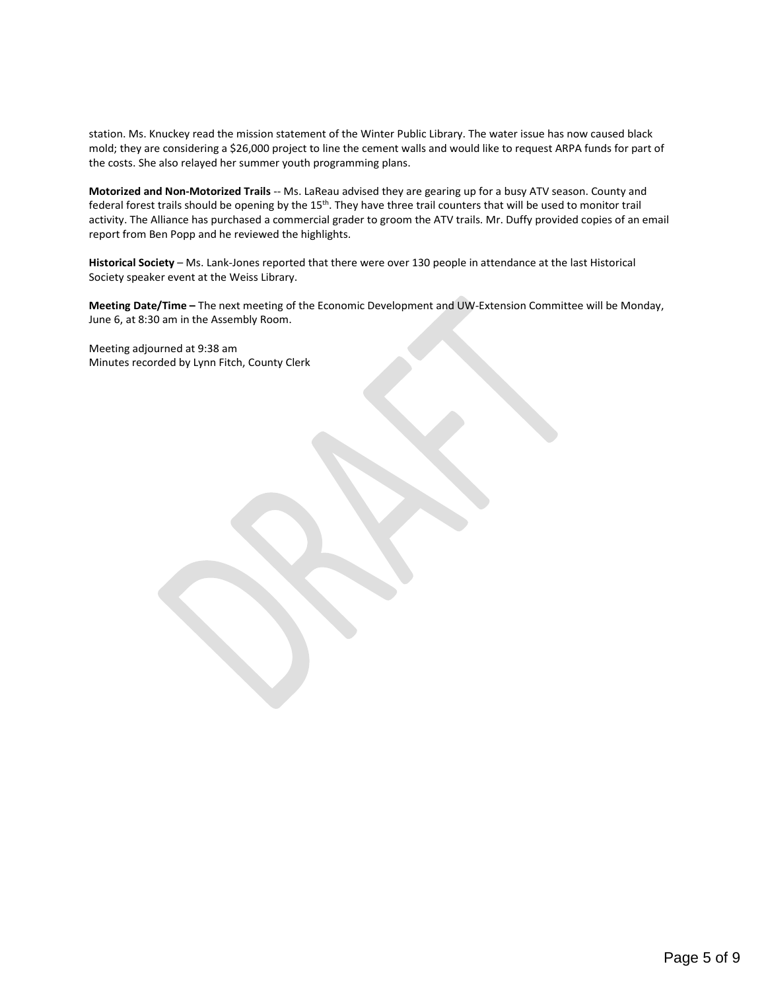station. Ms. Knuckey read the mission statement of the Winter Public Library. The water issue has now caused black mold; they are considering a \$26,000 project to line the cement walls and would like to request ARPA funds for part of the costs. She also relayed her summer youth programming plans.

**Motorized and Non-Motorized Trails** -- Ms. LaReau advised they are gearing up for a busy ATV season. County and federal forest trails should be opening by the 15<sup>th</sup>. They have three trail counters that will be used to monitor trail activity. The Alliance has purchased a commercial grader to groom the ATV trails. Mr. Duffy provided copies of an email report from Ben Popp and he reviewed the highlights.

**Historical Society** – Ms. Lank-Jones reported that there were over 130 people in attendance at the last Historical Society speaker event at the Weiss Library.

**Meeting Date/Time –** The next meeting of the Economic Development and UW-Extension Committee will be Monday, June 6, at 8:30 am in the Assembly Room.

Meeting adjourned at 9:38 am Minutes recorded by Lynn Fitch, County Clerk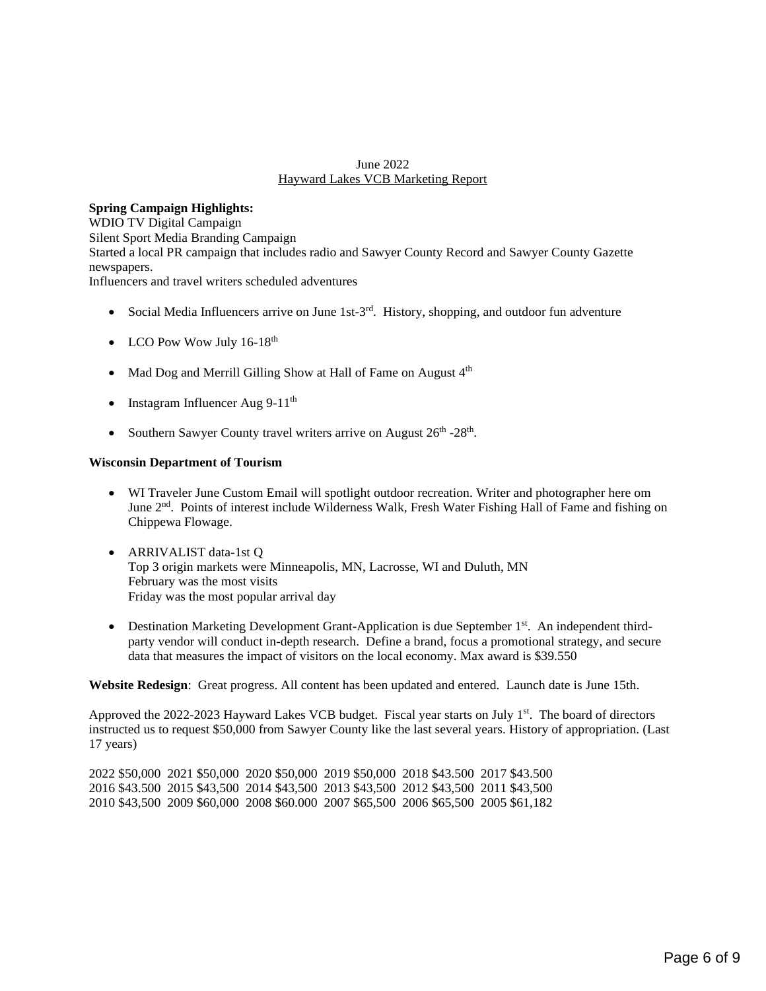#### June 2022 Hayward Lakes VCB Marketing Report

### <span id="page-5-0"></span>**Spring Campaign Highlights:**

WDIO TV Digital Campaign Silent Sport Media Branding Campaign Started a local PR campaign that includes radio and Sawyer County Record and Sawyer County Gazette newspapers.

Influencers and travel writers scheduled adventures

- Social Media Influencers arrive on June 1st-3<sup>rd</sup>. History, shopping, and outdoor fun adventure
- LCO Pow Wow July 16-18<sup>th</sup>
- Mad Dog and Merrill Gilling Show at Hall of Fame on August 4<sup>th</sup>
- Instagram Influencer Aug  $9-11^{\text{th}}$
- Southern Sawyer County travel writers arrive on August 26<sup>th</sup> -28<sup>th</sup>.

#### **Wisconsin Department of Tourism**

- WI Traveler June Custom Email will spotlight outdoor recreation. Writer and photographer here om June 2<sup>nd</sup>. Points of interest include Wilderness Walk, Fresh Water Fishing Hall of Fame and fishing on Chippewa Flowage.
- ARRIVALIST data-1st Q Top 3 origin markets were Minneapolis, MN, Lacrosse, WI and Duluth, MN February was the most visits Friday was the most popular arrival day
- Destination Marketing Development Grant-Application is due September 1<sup>st</sup>. An independent thirdparty vendor will conduct in-depth research. Define a brand, focus a promotional strategy, and secure data that measures the impact of visitors on the local economy. Max award is \$39.550

**Website Redesign**: Great progress. All content has been updated and entered. Launch date is June 15th.

Approved the 2022-2023 Hayward Lakes VCB budget. Fiscal year starts on July 1st. The board of directors instructed us to request \$50,000 from Sawyer County like the last several years. History of appropriation. (Last 17 years)

2022 \$50,000 2021 \$50,000 2020 \$50,000 2019 \$50,000 2018 \$43.500 2017 \$43.500 2016 \$43.500 2015 \$43,500 2014 \$43,500 2013 \$43,500 2012 \$43,500 2011 \$43,500 2010 \$43,500 2009 \$60,000 2008 \$60.000 2007 \$65,500 2006 \$65,500 2005 \$61,182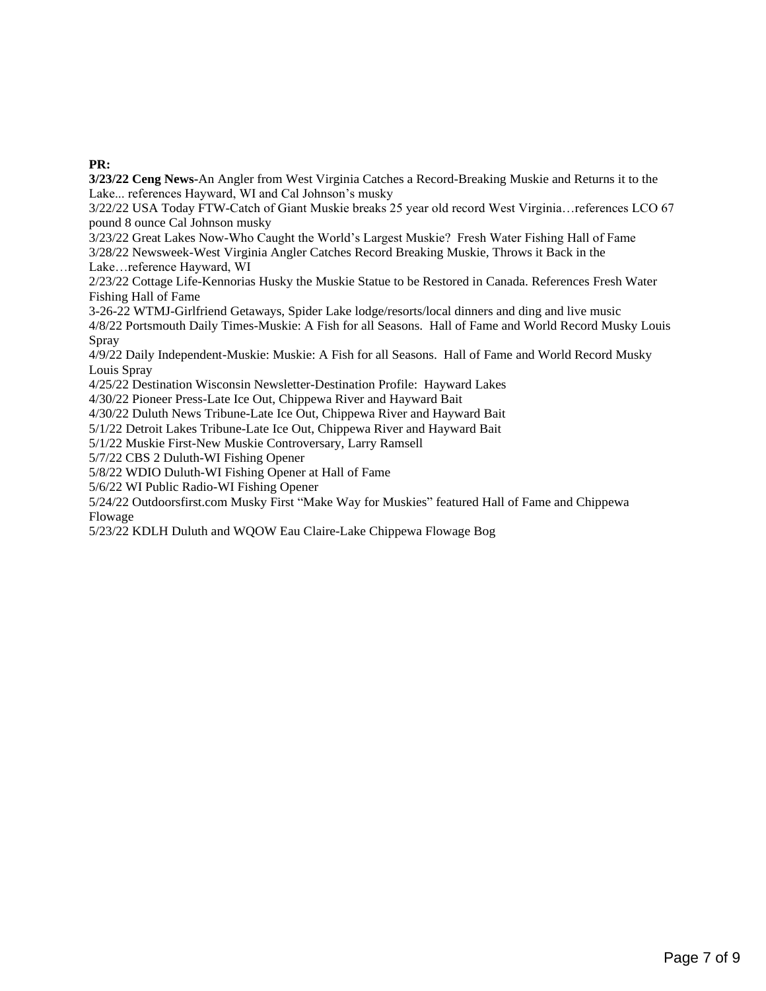### **PR:**

**3/23/22 Ceng News-**An Angler from West Virginia Catches a Record-Breaking Muskie and Returns it to the Lake... references Hayward, WI and Cal Johnson's musky

3/22/22 USA Today FTW-Catch of Giant Muskie breaks 25 year old record West Virginia…references LCO 67 pound 8 ounce Cal Johnson musky

3/23/22 Great Lakes Now-Who Caught the World's Largest Muskie? Fresh Water Fishing Hall of Fame 3/28/22 Newsweek-West Virginia Angler Catches Record Breaking Muskie, Throws it Back in the Lake…reference Hayward, WI

2/23/22 Cottage Life-Kennorias Husky the Muskie Statue to be Restored in Canada. References Fresh Water Fishing Hall of Fame

3-26-22 WTMJ-Girlfriend Getaways, Spider Lake lodge/resorts/local dinners and ding and live music

4/8/22 Portsmouth Daily Times-Muskie: A Fish for all Seasons. Hall of Fame and World Record Musky Louis Spray

4/9/22 Daily Independent-Muskie: Muskie: A Fish for all Seasons. Hall of Fame and World Record Musky Louis Spray

4/25/22 Destination Wisconsin Newsletter-Destination Profile: Hayward Lakes

4/30/22 Pioneer Press-Late Ice Out, Chippewa River and Hayward Bait

4/30/22 Duluth News Tribune-Late Ice Out, Chippewa River and Hayward Bait

5/1/22 Detroit Lakes Tribune-Late Ice Out, Chippewa River and Hayward Bait

5/1/22 Muskie First-New Muskie Controversary, Larry Ramsell

5/7/22 CBS 2 Duluth-WI Fishing Opener

5/8/22 WDIO Duluth-WI Fishing Opener at Hall of Fame

5/6/22 WI Public Radio-WI Fishing Opener

5/24/22 Outdoorsfirst.com Musky First "Make Way for Muskies" featured Hall of Fame and Chippewa Flowage

5/23/22 KDLH Duluth and WQOW Eau Claire-Lake Chippewa Flowage Bog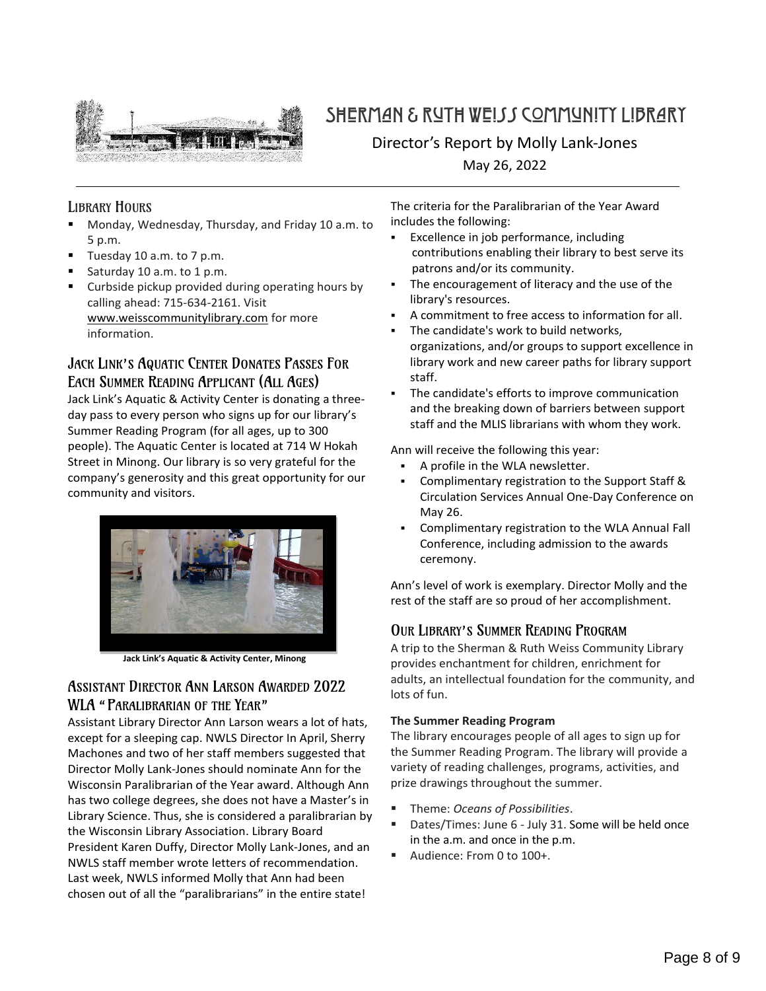<span id="page-7-0"></span>

## SHERMAN & RUTH WEISS COMMUNITY LIBRARY

Director's Report by Molly Lank-Jones May 26, 2022

### LIBRARY HOURS

- Monday, Wednesday, Thursday, and Friday 10 a.m. to 5 p.m.
- Tuesday 10 a.m. to 7 p.m.
- Saturday 10 a.m. to 1 p.m.
- Curbside pickup provided during operating hours by calling ahead: 715-634-2161. Visit [www.weisscommunitylibrary.com](http://www.weisscommunitylibrary.com/) for more information.

### JACK LINK'S AQUATIC CENTER DONATES PASSES FOR EACH SUMMER READING APPLICANT (ALL AGES)

Jack Link's Aquatic & Activity Center is donating a threeday pass to every person who signs up for our library's Summer Reading Program (for all ages, up to 300 people). The Aquatic Center is located at 714 W Hokah Street in Minong. Our library is so very grateful for the company's generosity and this great opportunity for our community and visitors.



 **Jack Link's Aquatic & Activity Center, Minong**

### ASSISTANT DIRECTOR ANN LARSON AWARDED 2022 WLA "PARALIBRARIAN OF THE YEAR"

Assistant Library Director Ann Larson wears a lot of hats, except for a sleeping cap. NWLS Director In April, Sherry Machones and two of her staff members suggested that Director Molly Lank-Jones should nominate Ann for the Wisconsin Paralibrarian of the Year award. Although Ann has two college degrees, she does not have a Master's in Library Science. Thus, she is considered a paralibrarian by the Wisconsin Library Association. Library Board President Karen Duffy, Director Molly Lank-Jones, and an NWLS staff member wrote letters of recommendation. Last week, NWLS informed Molly that Ann had been chosen out of all the "paralibrarians" in the entire state!

The criteria for the Paralibrarian of the Year Award includes the following:

- Excellence in job performance, including contributions enabling their library to best serve its patrons and/or its community.
- The encouragement of literacy and the use of the library's resources.
- A commitment to free access to information for all.
- The candidate's work to build networks. organizations, and/or groups to support excellence in library work and new career paths for library support staff.
- The candidate's efforts to improve communication and the breaking down of barriers between support staff and the MLIS librarians with whom they work.

Ann will receive the following this year:

- A profile in the WLA newsletter.
- Complimentary registration to the Support Staff & Circulation Services Annual One-Day Conference on May 26.
- Complimentary registration to the WLA Annual Fall Conference, including admission to the awards ceremony.

Ann's level of work is exemplary. Director Molly and the rest of the staff are so proud of her accomplishment.

### OUR LIBRARY'S SUMMER READING PROGRAM

A trip to the Sherman & Ruth Weiss Community Library provides enchantment for children, enrichment for adults, an intellectual foundation for the community, and lots of fun.

#### **The Summer Reading Program**

The library encourages people of all ages to sign up for the Summer Reading Program. The library will provide a variety of reading challenges, programs, activities, and prize drawings throughout the summer.

- Theme: *Oceans of Possibilities*.
- Dates/Times: June 6 July 31. Some will be held once in the a.m. and once in the p.m.
- Audience: From 0 to 100+.